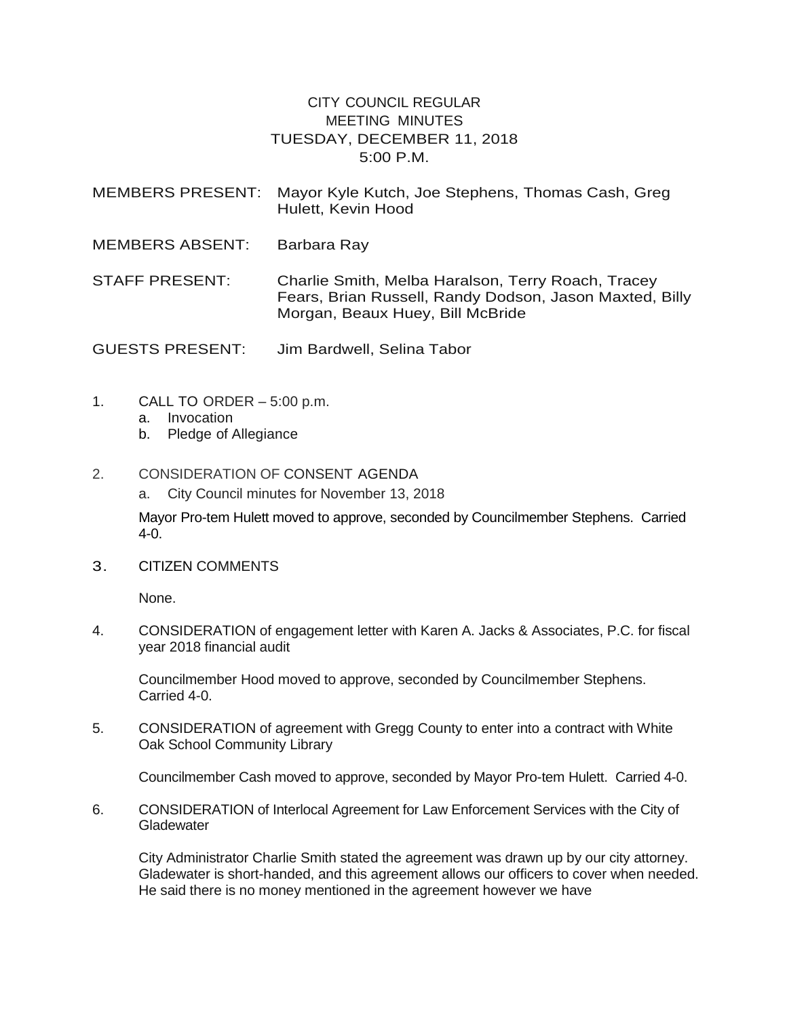## CITY COUNCIL REGULAR MEETING MINUTES TUESDAY, DECEMBER 11, 2018 5:00 P.M.

| <b>MEMBERS PRESENT:</b> | Mayor Kyle Kutch, Joe Stephens, Thomas Cash, Greg<br>Hulett, Kevin Hood                                                                           |
|-------------------------|---------------------------------------------------------------------------------------------------------------------------------------------------|
| <b>MEMBERS ABSENT:</b>  | Barbara Ray                                                                                                                                       |
| STAFF PRESENT:          | Charlie Smith, Melba Haralson, Terry Roach, Tracey<br>Fears, Brian Russell, Randy Dodson, Jason Maxted, Billy<br>Morgan, Beaux Huey, Bill McBride |

GUESTS PRESENT: Jim Bardwell, Selina Tabor

- 1. CALL TO ORDER 5:00 p.m.
	- a. Invocation
	- b. Pledge of Allegiance

## 2. CONSIDERATION OF CONSENT AGENDA

a. City Council minutes for November 13, 2018

Mayor Pro-tem Hulett moved to approve, seconded by Councilmember Stephens. Carried 4-0.

3. CITIZEN COMMENTS

None.

4. CONSIDERATION of engagement letter with Karen A. Jacks & Associates, P.C. for fiscal year 2018 financial audit

Councilmember Hood moved to approve, seconded by Councilmember Stephens. Carried 4-0.

5. CONSIDERATION of agreement with Gregg County to enter into a contract with White Oak School Community Library

Councilmember Cash moved to approve, seconded by Mayor Pro-tem Hulett. Carried 4-0.

6. CONSIDERATION of Interlocal Agreement for Law Enforcement Services with the City of **Gladewater** 

City Administrator Charlie Smith stated the agreement was drawn up by our city attorney. Gladewater is short-handed, and this agreement allows our officers to cover when needed. He said there is no money mentioned in the agreement however we have